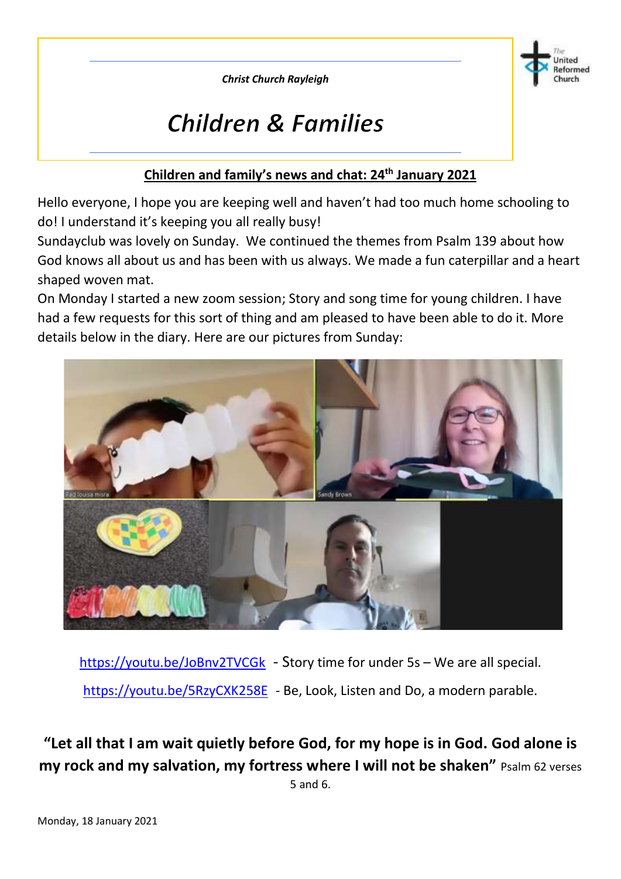*Christ Church Rayleigh*



# **Children & Families**

#### **Children and family's news and chat: 24th January 2021**

Hello everyone, I hope you are keeping well and haven't had too much home schooling to do! I understand it's keeping you all really busy!

Sundayclub was lovely on Sunday. We continued the themes from Psalm 139 about how God knows all about us and has been with us always. We made a fun caterpillar and a heart shaped woven mat.

On Monday I started a new zoom session; Story and song time for young children. I have had a few requests for this sort of thing and am pleased to have been able to do it. More details below in the diary. Here are our pictures from Sunday:



<https://youtu.be/JoBnv2TVCGk> - Story time for under 5s – We are all special. <https://youtu.be/5RzyCXK258E> - Be, Look, Listen and Do, a modern parable.

**"Let all that I am wait quietly before God, for my hope is in God. God alone is my rock and my salvation, my fortress where I will not be shaken"** Psalm 62 verses 5 and 6.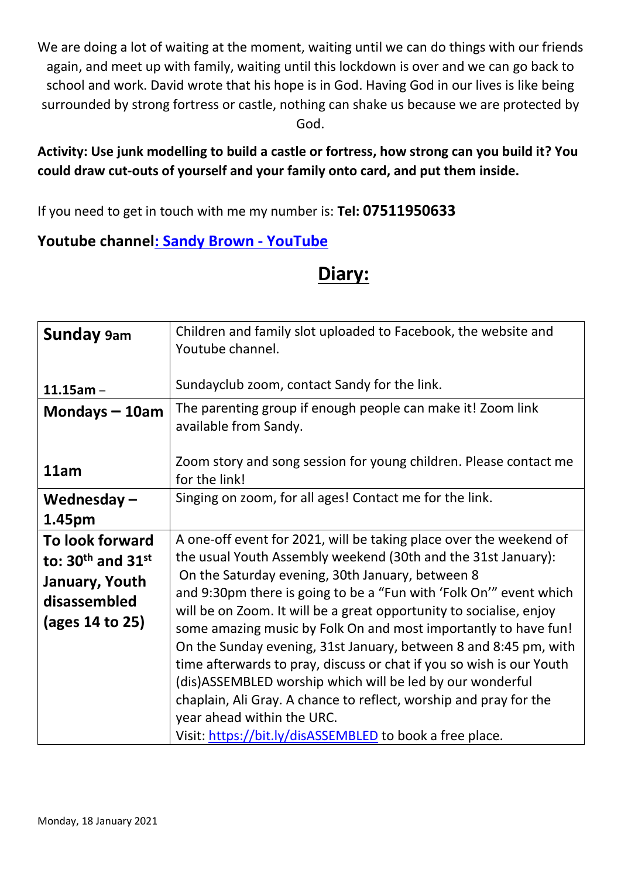We are doing a lot of waiting at the moment, waiting until we can do things with our friends again, and meet up with family, waiting until this lockdown is over and we can go back to school and work. David wrote that his hope is in God. Having God in our lives is like being surrounded by strong fortress or castle, nothing can shake us because we are protected by God.

#### **Activity: Use junk modelling to build a castle or fortress, how strong can you build it? You could draw cut-outs of yourself and your family onto card, and put them inside.**

If you need to get in touch with me my number is: **Tel: 07511950633**

### **Youtube channe[l: Sandy Brown -](https://www.youtube.com/channel/UCczXJ3IckAMTs3fhXEBjI_g) YouTube**

## **Diary:**

| <b>Sunday</b> 9am                                                                             | Children and family slot uploaded to Facebook, the website and<br>Youtube channel.                                                                                                                                                                                                                                                                                                                                                                                                                                                                                                                                                                                                                                                                                              |
|-----------------------------------------------------------------------------------------------|---------------------------------------------------------------------------------------------------------------------------------------------------------------------------------------------------------------------------------------------------------------------------------------------------------------------------------------------------------------------------------------------------------------------------------------------------------------------------------------------------------------------------------------------------------------------------------------------------------------------------------------------------------------------------------------------------------------------------------------------------------------------------------|
| $11.15$ am -                                                                                  | Sundayclub zoom, contact Sandy for the link.                                                                                                                                                                                                                                                                                                                                                                                                                                                                                                                                                                                                                                                                                                                                    |
| Mondays $-10$ am                                                                              | The parenting group if enough people can make it! Zoom link<br>available from Sandy.                                                                                                                                                                                                                                                                                                                                                                                                                                                                                                                                                                                                                                                                                            |
| 11am                                                                                          | Zoom story and song session for young children. Please contact me<br>for the link!                                                                                                                                                                                                                                                                                                                                                                                                                                                                                                                                                                                                                                                                                              |
| Wednesday $-$                                                                                 | Singing on zoom, for all ages! Contact me for the link.                                                                                                                                                                                                                                                                                                                                                                                                                                                                                                                                                                                                                                                                                                                         |
| 1.45pm                                                                                        |                                                                                                                                                                                                                                                                                                                                                                                                                                                                                                                                                                                                                                                                                                                                                                                 |
| To look forward<br>to: $30th$ and $31st$<br>January, Youth<br>disassembled<br>(ages 14 to 25) | A one-off event for 2021, will be taking place over the weekend of<br>the usual Youth Assembly weekend (30th and the 31st January):<br>On the Saturday evening, 30th January, between 8<br>and 9:30pm there is going to be a "Fun with 'Folk On'" event which<br>will be on Zoom. It will be a great opportunity to socialise, enjoy<br>some amazing music by Folk On and most importantly to have fun!<br>On the Sunday evening, 31st January, between 8 and 8:45 pm, with<br>time afterwards to pray, discuss or chat if you so wish is our Youth<br>(dis)ASSEMBLED worship which will be led by our wonderful<br>chaplain, Ali Gray. A chance to reflect, worship and pray for the<br>year ahead within the URC.<br>Visit: https://bit.ly/disASSEMBLED to book a free place. |